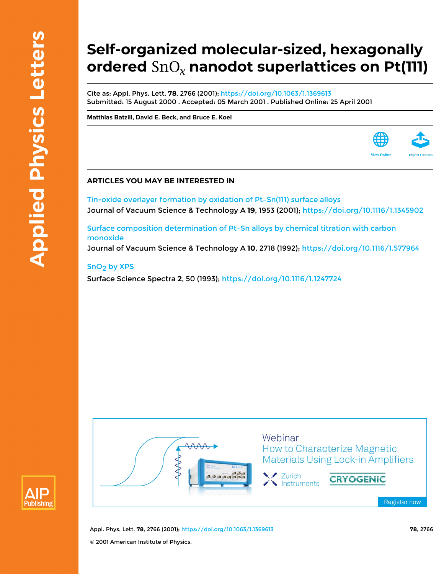## **Self-organized molecular-sized, hexagonally ordered nanodot superlattices on Pt(111)**

Cite as: Appl. Phys. Lett. **78**, 2766 (2001); <https://doi.org/10.1063/1.1369613> Submitted: 15 August 2000 . Accepted: 05 March 2001 . Published Online: 25 April 2001

**[Matthias Batzill,](https://aip.scitation.org/author/Batzill%2C+Matthias) [David E. Beck](https://aip.scitation.org/author/Beck%2C+David+E), and [Bruce E. Koel](https://aip.scitation.org/author/Koel%2C+Bruce+E)**

## **ARTICLES YOU MAY BE INTERESTED IN**

[Tin-oxide overlayer formation by oxidation of Pt–Sn\(111\) surface alloys](https://aip.scitation.org/doi/10.1116/1.1345902) Journal of Vacuum Science & Technology A **19**, 1953 (2001);<https://doi.org/10.1116/1.1345902>

[Surface composition determination of Pt–Sn alloys by chemical titration with carbon](https://aip.scitation.org/doi/10.1116/1.577964) [monoxide](https://aip.scitation.org/doi/10.1116/1.577964)

Journal of Vacuum Science & Technology A **10**, 2718 (1992); <https://doi.org/10.1116/1.577964>

## [SnO2 by XPS](https://aip.scitation.org/doi/10.1116/1.1247724)

Surface Science Spectra **2**, 50 (1993);<https://doi.org/10.1116/1.1247724>



Appl. Phys. Lett. **78**, 2766 (2001); <https://doi.org/10.1063/1.1369613> **78**, 2766 © 2001 American Institute of Physics.

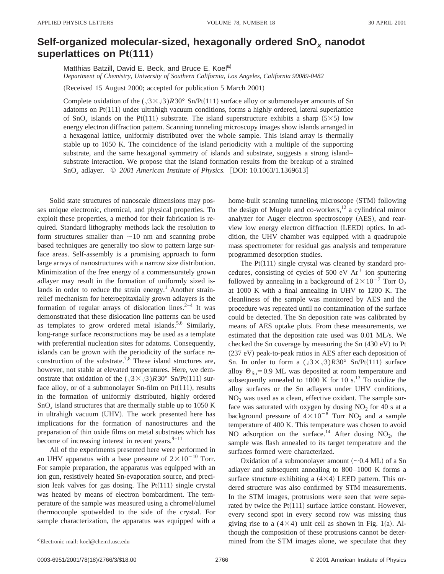## **Self-organized molecular-sized, hexagonally ordered SnO<sup>x</sup> nanodot** superlattices on Pt(111)

Matthias Batzill, David E. Beck, and Bruce E. Koel<sup>a)</sup> *Department of Chemistry, University of Southern California, Los Angeles, California 90089-0482*

(Received 15 August 2000; accepted for publication 5 March 2001)

Complete oxidation of the  $(\sqrt{3} \times \sqrt{3})R30^\circ$  Sn/Pt(111) surface alloy or submonolayer amounts of Sn adatoms on  $Pt(111)$  under ultrahigh vacuum conditions, forms a highly ordered, lateral superlattice of SnO<sub>x</sub> islands on the Pt<sup> $(111)$ </sup> substrate. The island superstructure exhibits a sharp  $(5\times5)$  low energy electron diffraction pattern. Scanning tunneling microscopy images show islands arranged in a hexagonal lattice, uniformly distributed over the whole sample. This island array is thermally stable up to 1050 K. The coincidence of the island periodicity with a multiple of the supporting substrate, and the same hexagonal symmetry of islands and substrate, suggests a strong islandsubstrate interaction. We propose that the island formation results from the breakup of a strained SnO<sub>x</sub> adlayer. © 2001 American Institute of Physics. [DOI: 10.1063/1.1369613]

Solid state structures of nanoscale dimensions may posses unique electronic, chemical, and physical properties. To exploit these properties, a method for their fabrication is required. Standard lithography methods lack the resolution to form structures smaller than  $\sim$ 10 nm and scanning probe based techniques are generally too slow to pattern large surface areas. Self-assembly is a promising approach to form large arrays of nanostructures with a narrow size distribution. Minimization of the free energy of a commensurately grown adlayer may result in the formation of uniformly sized islands in order to reduce the strain energy.<sup>1</sup> Another strainrelief mechanism for heteroepitaxially grown adlayers is the formation of regular arrays of dislocation lines.<sup>2–4</sup> It was demonstrated that these dislocation line patterns can be used as templates to grow ordered metal islands.<sup>5,6</sup> Similarly, long-range surface reconstructions may be used as a template with preferential nucleation sites for adatoms. Consequently, islands can be grown with the periodicity of the surface reconstruction of the substrate.<sup>7,8</sup> These island structures are, however, not stable at elevated temperatures. Here, we demonstrate that oxidation of the  $(\sqrt{3} \times \sqrt{3})R30^\circ$  Sn/Pt(111) surface alloy, or of a submonolayer Sn-film on  $Pt(111)$ , results in the formation of uniformly distributed, highly ordered SnO*<sup>x</sup>* island structures that are thermally stable up to 1050 K in ultrahigh vacuum (UHV). The work presented here has implications for the formation of nanostructures and the preparation of thin oxide films on metal substrates which has become of increasing interest in recent years. $9-11$ 

All of the experiments presented here were performed in an UHV apparatus with a base pressure of  $2 \times 10^{-10}$  Torr. For sample preparation, the apparatus was equipped with an ion gun, resistively heated Sn-evaporation source, and precision leak valves for gas dosing. The  $Pt(111)$  single crystal was heated by means of electron bombardment. The temperature of the sample was measured using a chromel/alumel thermocouple spotwelded to the side of the crystal. For sample characterization, the apparatus was equipped with a home-built scanning tunneling microscope (STM) following the design of Mugele and co-workers, $^{12}$  a cylindrical mirror analyzer for Auger electron spectroscopy (AES), and rearview low energy electron diffraction (LEED) optics. In addition, the UHV chamber was equipped with a quadrupole mass spectrometer for residual gas analysis and temperature programmed desorption studies.

The  $Pt(111)$  single crystal was cleaned by standard procedures, consisting of cycles of  $500$  eV  $Ar<sup>+</sup>$  ion sputtering followed by annealing in a background of  $2 \times 10^{-7}$  Torr O<sub>2</sub> at 1000 K with a final annealing in UHV to 1200 K. The cleanliness of the sample was monitored by AES and the procedure was repeated until no contamination of the surface could be detected. The Sn deposition rate was calibrated by means of AES uptake plots. From these measurements, we estimated that the deposition rate used was 0.01 ML/s. We checked the Sn coverage by measuring the Sn  $(430 eV)$  to Pt  $(237 \text{ eV})$  peak-to-peak ratios in AES after each deposition of Sn. In order to form a  $(\sqrt{3} \times \sqrt{3})R30^\circ$  Sn/Pt(111) surface alloy  $\Theta_{\text{Sn}}=0.9$  ML was deposited at room temperature and subsequently annealed to 1000 K for 10 s. $^{13}$  To oxidize the alloy surfaces or the Sn adlayers under UHV conditions,  $NO<sub>2</sub>$  was used as a clean, effective oxidant. The sample surface was saturated with oxygen by dosing  $NO<sub>2</sub>$  for 40 s at a background pressure of  $4\times10^{-8}$  Torr NO<sub>2</sub> and a sample temperature of 400 K. This temperature was chosen to avoid NO adsorption on the surface.<sup>14</sup> After dosing NO<sub>2</sub>, the sample was flash annealed to its target temperature and the surfaces formed were characterized.

Oxidation of a submonolayer amount  $(\sim 0.4$  ML) of a Sn adlayer and subsequent annealing to 800–1000 K forms a surface structure exhibiting a  $(4\times4)$  LEED pattern. This ordered structure was also confirmed by STM measurements. In the STM images, protrusions were seen that were separated by twice the  $Pt(111)$  surface lattice constant. However, every second spot in every second row was missing thus giving rise to a  $(4\times4)$  unit cell as shown in Fig. 1(a). Although the composition of these protrusions cannot be determined from the STM images alone, we speculate that they

Electronic mail: koel@chem1.usc.edu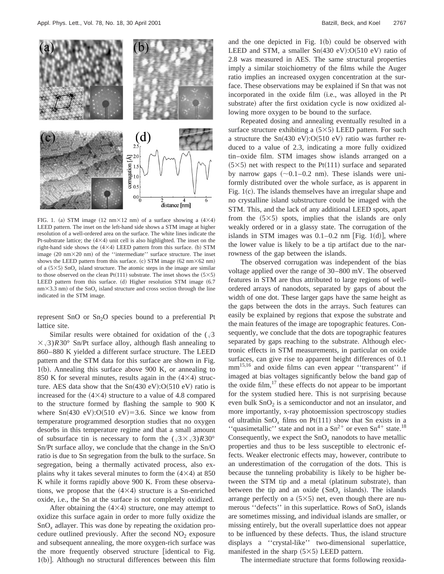

FIG. 1. (a) STM image (12 nm $\times$ 12 nm) of a surface showing a  $(4\times4)$ LEED pattern. The inset on the left-hand side shows a STM image at higher resolution of a well-ordered area on the surface. The white lines indicate the Pt-substrate lattice; the  $(4\times4)$  unit cell is also highlighted. The inset on the right-hand side shows the  $(4\times4)$  LEED pattern from this surface. (b) STM image  $(20 \text{ nm} \times 20 \text{ nm})$  of the "intermediate" surface structure. The inset shows the LEED pattern from this surface. (c) STM image  $(62 \text{ nm} \times 62 \text{ nm})$ of a  $(5\times5)$  SnO<sub>x</sub> island structure. The atomic steps in the image are similar to those observed on the clean Pt(111) substrate. The inset shows the  $(5\times5)$ LEED pattern from this surface.  $(d)$  Higher resolution STM image  $(6.7)$  $nm \times 3.3$  nm) of the SnO<sub>x</sub> island structure and cross section through the line indicated in the STM image.

represent SnO or Sn<sub>2</sub>O species bound to a preferential Pt lattice site.

Similar results were obtained for oxidation of the  $(\sqrt{3})$  $\times$  (3)*R*30° Sn/Pt surface alloy, although flash annealing to 860–880 K yielded a different surface structure. The LEED pattern and the STM data for this surface are shown in Fig.  $1(b)$ . Annealing this surface above 900 K, or annealing to 850 K for several minutes, results again in the  $(4\times4)$  structure. AES data show that the  $Sn(430 eV):O(510 eV)$  ratio is increased for the  $(4\times4)$  structure to a value of 4.8 compared to the structure formed by flashing the sample to 900 K where  $Sn(430 eV):O(510 eV)=3.6$ . Since we know from temperature programmed desorption studies that no oxygen desorbs in this temperature regime and that a small amount of subsurface tin is necessary to form the  $(\sqrt{3} \times \sqrt{3})R30^\circ$ Sn/Pt surface alloy, we conclude that the change in the Sn/O ratio is due to Sn segregation from the bulk to the surface. Sn segregation, being a thermally activated process, also explains why it takes several minutes to form the  $(4\times4)$  at 850 K while it forms rapidly above 900 K. From these observations, we propose that the  $(4\times4)$  structure is a Sn-enriched oxide, i.e., the Sn at the surface is not completely oxidized.

After obtaining the  $(4\times4)$  structure, one may attempt to oxidize this surface again in order to more fully oxidize the SnO*<sup>x</sup>* adlayer. This was done by repeating the oxidation procedure outlined previously. After the second  $NO<sub>2</sub>$  exposure and subsequent annealing, the more oxygen-rich surface was the more frequently observed structure [identical to Fig.  $1(b)$ ]. Although no structural differences between this film and the one depicted in Fig.  $1(b)$  could be observed with LEED and STM, a smaller  $Sn(430 eV):O(510 eV)$  ratio of 2.8 was measured in AES. The same structural properties imply a similar stoichiometry of the films while the Auger ratio implies an increased oxygen concentration at the surface. These observations may be explained if Sn that was not incorporated in the oxide film (i.e., was alloyed in the Pt substrate) after the first oxidation cycle is now oxidized allowing more oxygen to be bound to the surface.

Repeated dosing and annealing eventually resulted in a surface structure exhibiting a  $(5\times5)$  LEED pattern. For such a structure the  $Sn(430 eV):O(510 eV)$  ratio was further reduced to a value of 2.3, indicating a more fully oxidized tin–oxide film. STM images show islands arranged on a  $(5\times5)$  net with respect to the Pt $(111)$  surface and separated by narrow gaps  $(\sim 0.1-0.2 \text{ nm})$ . These islands were uniformly distributed over the whole surface, as is apparent in Fig.  $1(c)$ . The islands themselves have an irregular shape and no crystalline island substructure could be imaged with the STM. This, and the lack of any additional LEED spots, apart from the  $(5\times5)$  spots, implies that the islands are only weakly ordered or in a glassy state. The corrugation of the islands in STM images was  $0.1-0.2$  nm [Fig. 1(d)], where the lower value is likely to be a tip artifact due to the narrowness of the gap between the islands.

The observed corrugation was independent of the bias voltage applied over the range of 30–800 mV. The observed features in STM are thus attributed to large regions of wellordered arrays of nanodots, separated by gaps of about the width of one dot. These larger gaps have the same height as the gaps between the dots in the arrays. Such features can easily be explained by regions that expose the substrate and the main features of the image are topographic features. Consequently, we conclude that the dots are topographic features separated by gaps reaching to the substrate. Although electronic effects in STM measurements, in particular on oxide surfaces, can give rise to apparent height differences of 0.1 mm15,16 and oxide films can even appear ''transparent'' if imaged at bias voltages significantly below the band gap of the oxide film, $^{17}$  these effects do not appear to be important for the system studied here. This is not surprising because even bulk  $SnO<sub>2</sub>$  is a semiconductor and not an insulator, and more importantly, x-ray photoemission spectroscopy studies of ultrathin  $SnO<sub>x</sub>$  films on Pt(111) show that Sn exists in a "quasimetallic" state and not in a  $\text{Sn}^{2+}$  or even  $\text{Sn}^{4+}$  state.<sup>18</sup> Consequently, we expect the  $SnO<sub>x</sub>$  nanodots to have metallic properties and thus to be less susceptible to electronic effects. Weaker electronic effects may, however, contribute to an underestimation of the corrugation of the dots. This is because the tunneling probability is likely to be higher between the STM tip and a metal (platinum substrate), than between the tip and an oxide  $(SnO<sub>x</sub>$  islands). The islands arrange perfectly on a  $(5\times5)$  net, even though there are numerous ''defects'' in this superlattice. Rows of SnO*<sup>x</sup>* islands are sometimes missing, and individual islands are smaller, or missing entirely, but the overall superlattice does not appear to be influenced by these defects. Thus, the island structure displays a ''crystal-like'' two-dimensional superlattice, manifested in the sharp  $(5\times5)$  LEED pattern.

The intermediate structure that forms following reoxida-